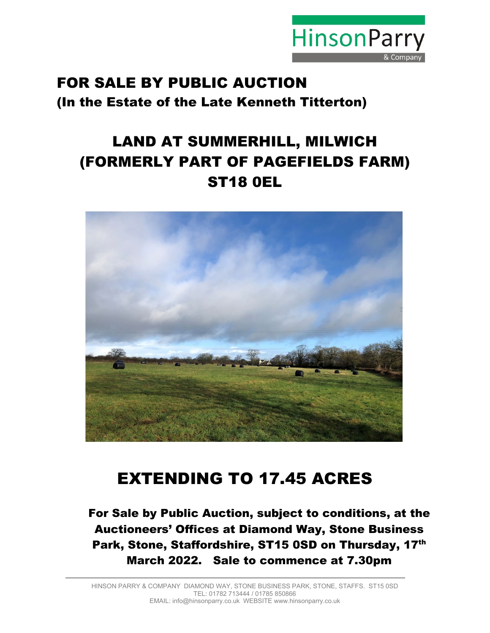

# FOR SALE BY PUBLIC AUCTION (In the Estate of the Late Kenneth Titterton)

# LAND AT SUMMERHILL, MILWICH (FORMERLY PART OF PAGEFIELDS FARM) ST18 0EL



# EXTENDING TO 17.45 ACRES

For Sale by Public Auction, subject to conditions, at the Auctioneers' Offices at Diamond Way, Stone Business Park, Stone, Staffordshire, ST15 0SD on Thursday, 17th March 2022. Sale to commence at 7.30pm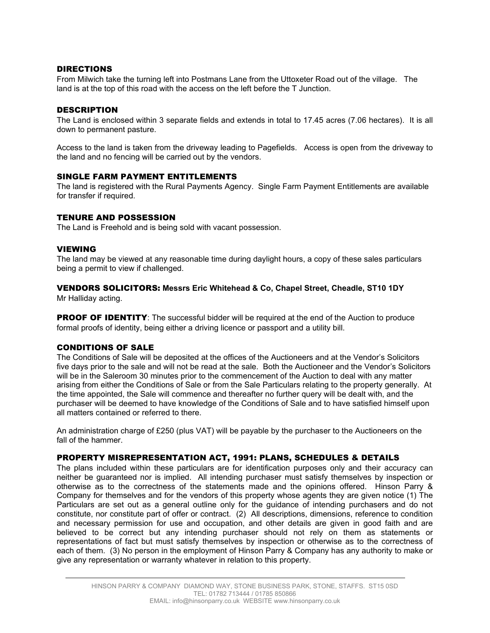## DIRECTIONS

From Milwich take the turning left into Postmans Lane from the Uttoxeter Road out of the village. The land is at the top of this road with the access on the left before the T Junction.

#### **DESCRIPTION**

The Land is enclosed within 3 separate fields and extends in total to 17.45 acres (7.06 hectares). It is all down to permanent pasture.

Access to the land is taken from the driveway leading to Pagefields. Access is open from the driveway to the land and no fencing will be carried out by the vendors.

#### SINGLE FARM PAYMENT ENTITLEMENTS

The land is registered with the Rural Payments Agency. Single Farm Payment Entitlements are available for transfer if required.

#### TENURE AND POSSESSION

The Land is Freehold and is being sold with vacant possession.

#### VIEWING

The land may be viewed at any reasonable time during daylight hours, a copy of these sales particulars being a permit to view if challenged.

# VENDORS SOLICITORS: **Messrs Eric Whitehead & Co, Chapel Street, Cheadle, ST10 1DY**

Mr Halliday acting.

PROOF OF IDENTITY: The successful bidder will be required at the end of the Auction to produce formal proofs of identity, being either a driving licence or passport and a utility bill.

## CONDITIONS OF SALE

The Conditions of Sale will be deposited at the offices of the Auctioneers and at the Vendor's Solicitors five days prior to the sale and will not be read at the sale. Both the Auctioneer and the Vendor's Solicitors will be in the Saleroom 30 minutes prior to the commencement of the Auction to deal with any matter arising from either the Conditions of Sale or from the Sale Particulars relating to the property generally. At the time appointed, the Sale will commence and thereafter no further query will be dealt with, and the purchaser will be deemed to have knowledge of the Conditions of Sale and to have satisfied himself upon all matters contained or referred to there.

An administration charge of £250 (plus VAT) will be payable by the purchaser to the Auctioneers on the fall of the hammer.

## PROPERTY MISREPRESENTATION ACT, 1991: PLANS, SCHEDULES & DETAILS

The plans included within these particulars are for identification purposes only and their accuracy can neither be guaranteed nor is implied. All intending purchaser must satisfy themselves by inspection or otherwise as to the correctness of the statements made and the opinions offered. Hinson Parry & Company for themselves and for the vendors of this property whose agents they are given notice (1) The Particulars are set out as a general outline only for the guidance of intending purchasers and do not constitute, nor constitute part of offer or contract. (2) All descriptions, dimensions, reference to condition and necessary permission for use and occupation, and other details are given in good faith and are believed to be correct but any intending purchaser should not rely on them as statements or representations of fact but must satisfy themselves by inspection or otherwise as to the correctness of each of them. (3) No person in the employment of Hinson Parry & Company has any authority to make or give any representation or warranty whatever in relation to this property.